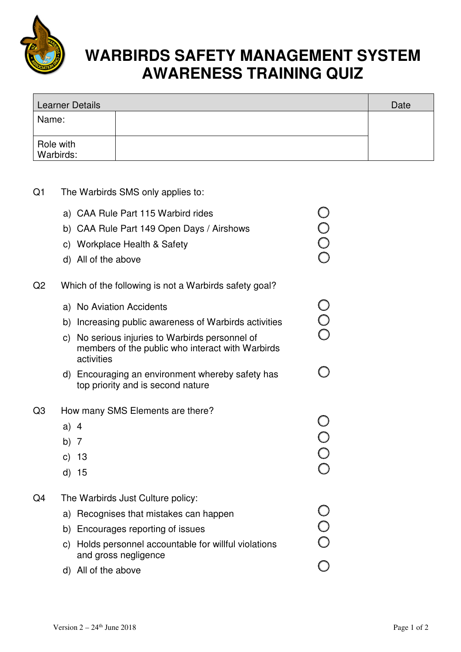

## **WARBIRDS SAFETY MANAGEMENT SYSTEM AWARENESS TRAINING QUIZ**

| Learner Details        |  | Date |
|------------------------|--|------|
| Name:                  |  |      |
| Role with<br>Warbirds: |  |      |

| Q <sub>1</sub> | The Warbirds SMS only applies to:                                                                                                                                                                                        |                       |  |  |
|----------------|--------------------------------------------------------------------------------------------------------------------------------------------------------------------------------------------------------------------------|-----------------------|--|--|
|                | a) CAA Rule Part 115 Warbird rides<br>b) CAA Rule Part 149 Open Days / Airshows<br>c) Workplace Health & Safety<br>d) All of the above                                                                                   | OOOO                  |  |  |
| Q <sub>2</sub> | Which of the following is not a Warbirds safety goal?                                                                                                                                                                    |                       |  |  |
|                | a) No Aviation Accidents<br>b) Increasing public awareness of Warbirds activities<br>c) No serious injuries to Warbirds personnel of<br>members of the public who interact with Warbirds<br>activities                   | OOO                   |  |  |
|                | d) Encouraging an environment whereby safety has<br>top priority and is second nature                                                                                                                                    |                       |  |  |
| Q <sub>3</sub> | How many SMS Elements are there?<br>a) $4$<br>b) $7$<br>c) 13<br>d) 15                                                                                                                                                   | 0<br>0<br>0<br>0<br>0 |  |  |
| Q4             | The Warbirds Just Culture policy:<br>a) Recognises that mistakes can happen<br>b) Encourages reporting of issues<br>c) Holds personnel accountable for willful violations<br>and gross negligence<br>d) All of the above | O<br>O<br>O           |  |  |